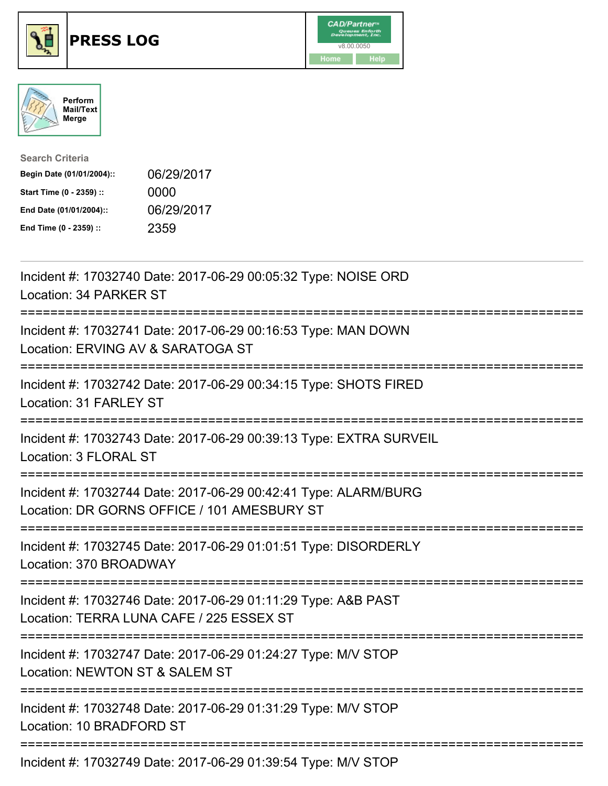

## **PRESS LOG** v8.00.0050





| <b>Search Criteria</b>    |            |
|---------------------------|------------|
| Begin Date (01/01/2004):: | 06/29/2017 |
| Start Time (0 - 2359) ::  | 0000       |
| End Date (01/01/2004)::   | 06/29/2017 |
| End Time (0 - 2359) ::    | 2359       |

Incident #: 17032740 Date: 2017-06-29 00:05:32 Type: NOISE ORD Location: 34 PARKER ST =========================================================================== Incident #: 17032741 Date: 2017-06-29 00:16:53 Type: MAN DOWN Location: ERVING AV & SARATOGA ST =========================================================================== Incident #: 17032742 Date: 2017-06-29 00:34:15 Type: SHOTS FIRED Location: 31 FARLEY ST =========================================================================== Incident #: 17032743 Date: 2017-06-29 00:39:13 Type: EXTRA SURVEIL Location: 3 FLORAL ST =========================================================================== Incident #: 17032744 Date: 2017-06-29 00:42:41 Type: ALARM/BURG Location: DR GORNS OFFICE / 101 AMESBURY ST =========================================================================== Incident #: 17032745 Date: 2017-06-29 01:01:51 Type: DISORDERLY Location: 370 BROADWAY =========================================================================== Incident #: 17032746 Date: 2017-06-29 01:11:29 Type: A&B PAST Location: TERRA LUNA CAFE / 225 ESSEX ST =========================================================================== Incident #: 17032747 Date: 2017-06-29 01:24:27 Type: M/V STOP Location: NEWTON ST & SALEM ST =========================================================================== Incident #: 17032748 Date: 2017-06-29 01:31:29 Type: M/V STOP Location: 10 BRADFORD ST ===========================================================================

Incident #: 17032749 Date: 2017-06-29 01:39:54 Type: M/V STOP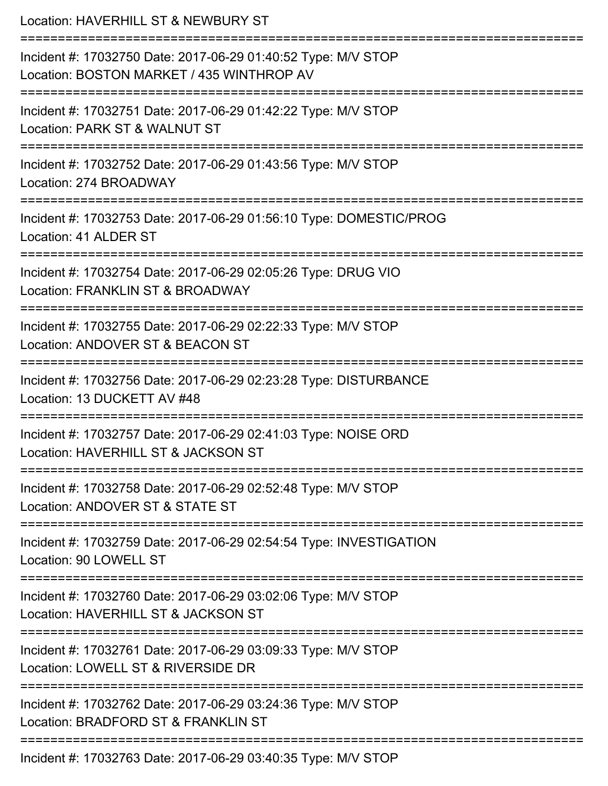| Location: HAVERHILL ST & NEWBURY ST<br>==========================                                                                |
|----------------------------------------------------------------------------------------------------------------------------------|
| Incident #: 17032750 Date: 2017-06-29 01:40:52 Type: M/V STOP<br>Location: BOSTON MARKET / 435 WINTHROP AV<br>================== |
| Incident #: 17032751 Date: 2017-06-29 01:42:22 Type: M/V STOP<br>Location: PARK ST & WALNUT ST                                   |
| Incident #: 17032752 Date: 2017-06-29 01:43:56 Type: M/V STOP<br>Location: 274 BROADWAY                                          |
| Incident #: 17032753 Date: 2017-06-29 01:56:10 Type: DOMESTIC/PROG<br>Location: 41 ALDER ST                                      |
| Incident #: 17032754 Date: 2017-06-29 02:05:26 Type: DRUG VIO<br>Location: FRANKLIN ST & BROADWAY                                |
| =========================<br>Incident #: 17032755 Date: 2017-06-29 02:22:33 Type: M/V STOP<br>Location: ANDOVER ST & BEACON ST   |
| Incident #: 17032756 Date: 2017-06-29 02:23:28 Type: DISTURBANCE<br>Location: 13 DUCKETT AV #48                                  |
| Incident #: 17032757 Date: 2017-06-29 02:41:03 Type: NOISE ORD<br>Location: HAVERHILL ST & JACKSON ST                            |
| Incident #: 17032758 Date: 2017-06-29 02:52:48 Type: M/V STOP<br>Location: ANDOVER ST & STATE ST                                 |
| Incident #: 17032759 Date: 2017-06-29 02:54:54 Type: INVESTIGATION<br>Location: 90 LOWELL ST                                     |
| Incident #: 17032760 Date: 2017-06-29 03:02:06 Type: M/V STOP<br>Location: HAVERHILL ST & JACKSON ST                             |
| Incident #: 17032761 Date: 2017-06-29 03:09:33 Type: M/V STOP<br>Location: LOWELL ST & RIVERSIDE DR                              |
| Incident #: 17032762 Date: 2017-06-29 03:24:36 Type: M/V STOP<br>Location: BRADFORD ST & FRANKLIN ST                             |
| Incident #: 17032763 Date: 2017-06-29 03:40:35 Type: M/V STOP                                                                    |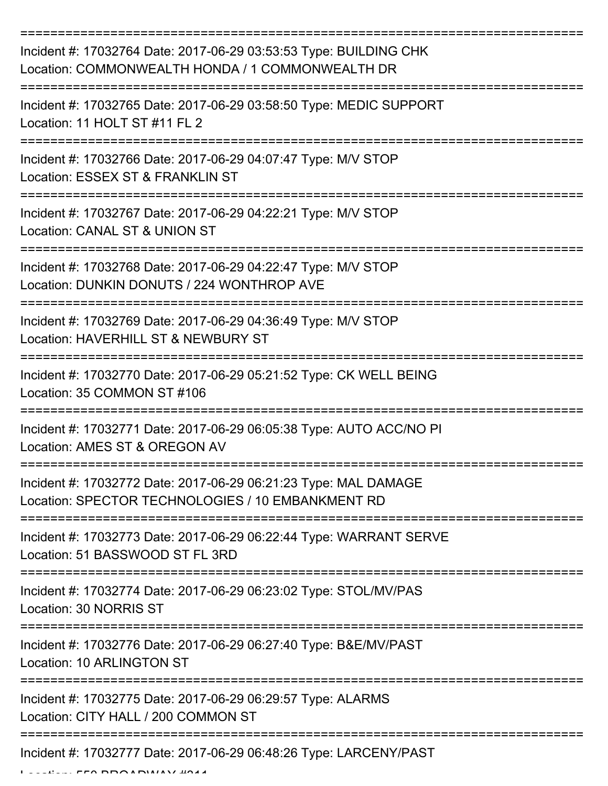| Incident #: 17032764 Date: 2017-06-29 03:53:53 Type: BUILDING CHK<br>Location: COMMONWEALTH HONDA / 1 COMMONWEALTH DR |
|-----------------------------------------------------------------------------------------------------------------------|
| Incident #: 17032765 Date: 2017-06-29 03:58:50 Type: MEDIC SUPPORT<br>Location: 11 HOLT ST #11 FL 2                   |
| Incident #: 17032766 Date: 2017-06-29 04:07:47 Type: M/V STOP<br>Location: ESSEX ST & FRANKLIN ST                     |
| Incident #: 17032767 Date: 2017-06-29 04:22:21 Type: M/V STOP<br>Location: CANAL ST & UNION ST                        |
| Incident #: 17032768 Date: 2017-06-29 04:22:47 Type: M/V STOP<br>Location: DUNKIN DONUTS / 224 WONTHROP AVE           |
| Incident #: 17032769 Date: 2017-06-29 04:36:49 Type: M/V STOP<br>Location: HAVERHILL ST & NEWBURY ST                  |
| Incident #: 17032770 Date: 2017-06-29 05:21:52 Type: CK WELL BEING<br>Location: 35 COMMON ST #106                     |
| Incident #: 17032771 Date: 2017-06-29 06:05:38 Type: AUTO ACC/NO PI<br>Location: AMES ST & OREGON AV                  |
| Incident #: 17032772 Date: 2017-06-29 06:21:23 Type: MAL DAMAGE<br>Location: SPECTOR TECHNOLOGIES / 10 EMBANKMENT RD  |
| Incident #: 17032773 Date: 2017-06-29 06:22:44 Type: WARRANT SERVE<br>Location: 51 BASSWOOD ST FL 3RD                 |
| Incident #: 17032774 Date: 2017-06-29 06:23:02 Type: STOL/MV/PAS<br>Location: 30 NORRIS ST                            |
| Incident #: 17032776 Date: 2017-06-29 06:27:40 Type: B&E/MV/PAST<br><b>Location: 10 ARLINGTON ST</b>                  |
| Incident #: 17032775 Date: 2017-06-29 06:29:57 Type: ALARMS<br>Location: CITY HALL / 200 COMMON ST                    |
| Incident #: 17032777 Date: 2017-06-29 06:48:26 Type: LARCENY/PAST                                                     |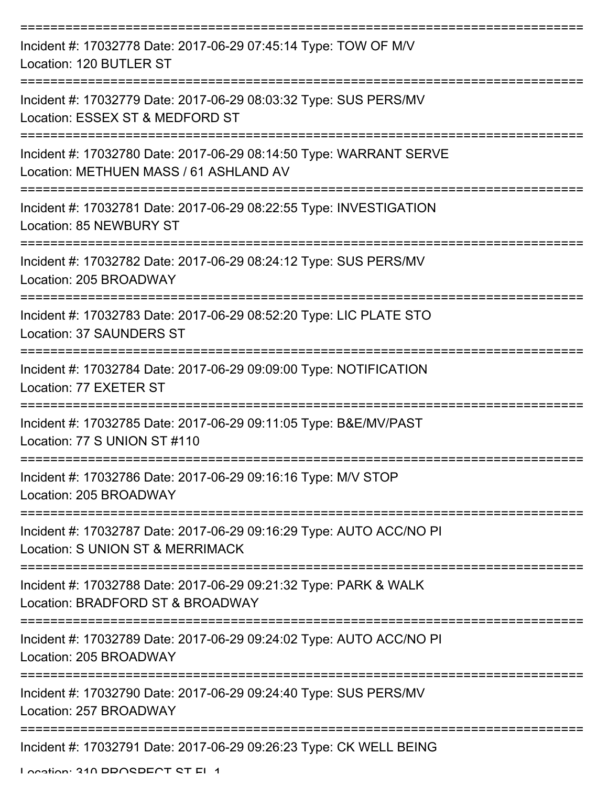| Incident #: 17032778 Date: 2017-06-29 07:45:14 Type: TOW OF M/V<br>Location: 120 BUTLER ST                   |
|--------------------------------------------------------------------------------------------------------------|
| Incident #: 17032779 Date: 2017-06-29 08:03:32 Type: SUS PERS/MV<br>Location: ESSEX ST & MEDFORD ST          |
| Incident #: 17032780 Date: 2017-06-29 08:14:50 Type: WARRANT SERVE<br>Location: METHUEN MASS / 61 ASHLAND AV |
| Incident #: 17032781 Date: 2017-06-29 08:22:55 Type: INVESTIGATION<br>Location: 85 NEWBURY ST                |
| Incident #: 17032782 Date: 2017-06-29 08:24:12 Type: SUS PERS/MV<br>Location: 205 BROADWAY                   |
| Incident #: 17032783 Date: 2017-06-29 08:52:20 Type: LIC PLATE STO<br>Location: 37 SAUNDERS ST               |
| Incident #: 17032784 Date: 2017-06-29 09:09:00 Type: NOTIFICATION<br>Location: 77 EXETER ST                  |
| Incident #: 17032785 Date: 2017-06-29 09:11:05 Type: B&E/MV/PAST<br>Location: 77 S UNION ST #110             |
| Incident #: 17032786 Date: 2017-06-29 09:16:16 Type: M/V STOP<br>Location: 205 BROADWAY                      |
| Incident #: 17032787 Date: 2017-06-29 09:16:29 Type: AUTO ACC/NO PI<br>Location: S UNION ST & MERRIMACK      |
| Incident #: 17032788 Date: 2017-06-29 09:21:32 Type: PARK & WALK<br>Location: BRADFORD ST & BROADWAY         |
| Incident #: 17032789 Date: 2017-06-29 09:24:02 Type: AUTO ACC/NO PI<br>Location: 205 BROADWAY                |
| Incident #: 17032790 Date: 2017-06-29 09:24:40 Type: SUS PERS/MV<br>Location: 257 BROADWAY                   |
| Incident #: 17032791 Date: 2017-06-29 09:26:23 Type: CK WELL BEING                                           |

Location: 210 DDOCDECT CT EL 1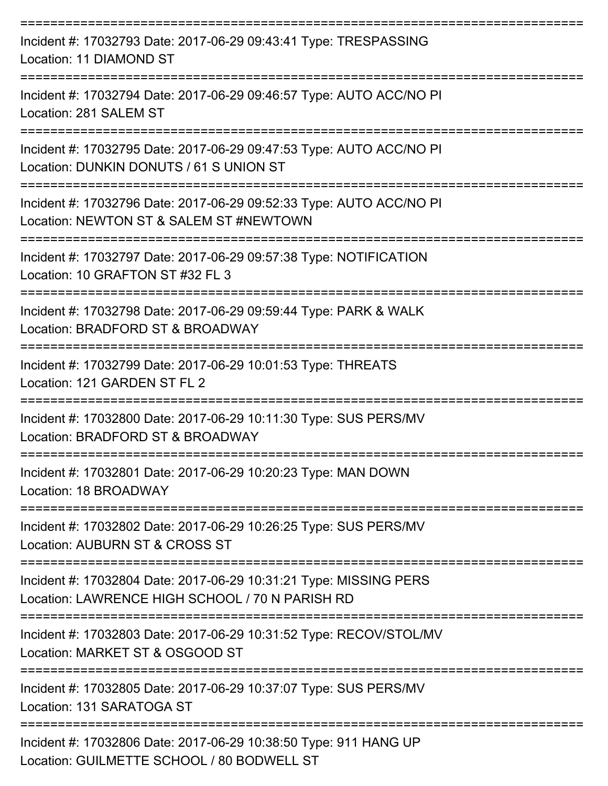| Incident #: 17032793 Date: 2017-06-29 09:43:41 Type: TRESPASSING<br>Location: 11 DIAMOND ST                               |
|---------------------------------------------------------------------------------------------------------------------------|
| Incident #: 17032794 Date: 2017-06-29 09:46:57 Type: AUTO ACC/NO PI<br>Location: 281 SALEM ST                             |
| Incident #: 17032795 Date: 2017-06-29 09:47:53 Type: AUTO ACC/NO PI<br>Location: DUNKIN DONUTS / 61 S UNION ST            |
| Incident #: 17032796 Date: 2017-06-29 09:52:33 Type: AUTO ACC/NO PI<br>Location: NEWTON ST & SALEM ST #NEWTOWN            |
| Incident #: 17032797 Date: 2017-06-29 09:57:38 Type: NOTIFICATION<br>Location: 10 GRAFTON ST #32 FL 3                     |
| Incident #: 17032798 Date: 2017-06-29 09:59:44 Type: PARK & WALK<br>Location: BRADFORD ST & BROADWAY<br>================= |
| Incident #: 17032799 Date: 2017-06-29 10:01:53 Type: THREATS<br>Location: 121 GARDEN ST FL 2                              |
| Incident #: 17032800 Date: 2017-06-29 10:11:30 Type: SUS PERS/MV<br>Location: BRADFORD ST & BROADWAY                      |
| Incident #: 17032801 Date: 2017-06-29 10:20:23 Type: MAN DOWN<br>Location: 18 BROADWAY                                    |
| Incident #: 17032802 Date: 2017-06-29 10:26:25 Type: SUS PERS/MV<br>Location: AUBURN ST & CROSS ST                        |
| Incident #: 17032804 Date: 2017-06-29 10:31:21 Type: MISSING PERS<br>Location: LAWRENCE HIGH SCHOOL / 70 N PARISH RD      |
| Incident #: 17032803 Date: 2017-06-29 10:31:52 Type: RECOV/STOL/MV<br>Location: MARKET ST & OSGOOD ST                     |
| Incident #: 17032805 Date: 2017-06-29 10:37:07 Type: SUS PERS/MV<br>Location: 131 SARATOGA ST                             |
| Incident #: 17032806 Date: 2017-06-29 10:38:50 Type: 911 HANG UP<br>Location: CUILMETTE CCHOOL 190 DODIMELL ST            |

Location: GUILMETTE SCHOOL / 80 BODWELL ST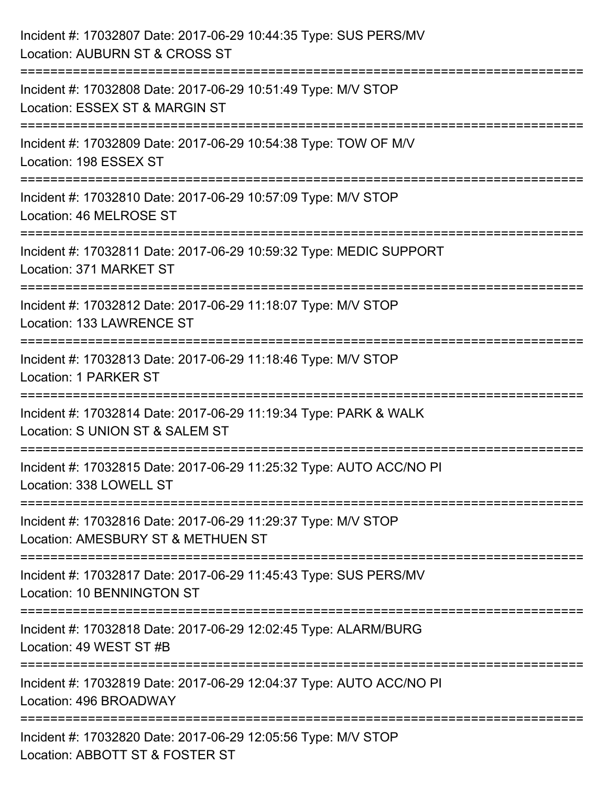| Incident #: 17032807 Date: 2017-06-29 10:44:35 Type: SUS PERS/MV<br>Location: AUBURN ST & CROSS ST                           |
|------------------------------------------------------------------------------------------------------------------------------|
| :========================<br>Incident #: 17032808 Date: 2017-06-29 10:51:49 Type: M/V STOP<br>Location: ESSEX ST & MARGIN ST |
| Incident #: 17032809 Date: 2017-06-29 10:54:38 Type: TOW OF M/V<br>Location: 198 ESSEX ST<br>===================             |
| Incident #: 17032810 Date: 2017-06-29 10:57:09 Type: M/V STOP<br>Location: 46 MELROSE ST                                     |
| Incident #: 17032811 Date: 2017-06-29 10:59:32 Type: MEDIC SUPPORT<br>Location: 371 MARKET ST                                |
| Incident #: 17032812 Date: 2017-06-29 11:18:07 Type: M/V STOP<br>Location: 133 LAWRENCE ST                                   |
| Incident #: 17032813 Date: 2017-06-29 11:18:46 Type: M/V STOP<br>Location: 1 PARKER ST<br>------------------------------     |
| Incident #: 17032814 Date: 2017-06-29 11:19:34 Type: PARK & WALK<br>Location: S UNION ST & SALEM ST                          |
| Incident #: 17032815 Date: 2017-06-29 11:25:32 Type: AUTO ACC/NO PI<br>Location: 338 LOWELL ST                               |
| Incident #: 17032816 Date: 2017-06-29 11:29:37 Type: M/V STOP<br>Location: AMESBURY ST & METHUEN ST                          |
| Incident #: 17032817 Date: 2017-06-29 11:45:43 Type: SUS PERS/MV<br>Location: 10 BENNINGTON ST                               |
| Incident #: 17032818 Date: 2017-06-29 12:02:45 Type: ALARM/BURG<br>Location: 49 WEST ST #B                                   |
| Incident #: 17032819 Date: 2017-06-29 12:04:37 Type: AUTO ACC/NO PI<br>Location: 496 BROADWAY                                |
| Incident #: 17032820 Date: 2017-06-29 12:05:56 Type: M/V STOP<br>Location: ABBOTT ST & FOSTER ST                             |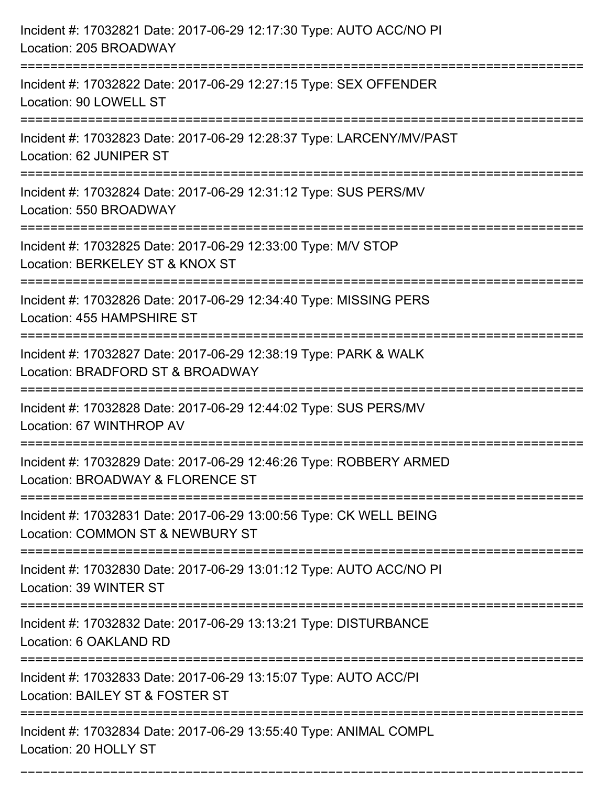| Incident #: 17032821 Date: 2017-06-29 12:17:30 Type: AUTO ACC/NO PI<br>Location: 205 BROADWAY                                                                    |
|------------------------------------------------------------------------------------------------------------------------------------------------------------------|
| Incident #: 17032822 Date: 2017-06-29 12:27:15 Type: SEX OFFENDER<br>Location: 90 LOWELL ST                                                                      |
| Incident #: 17032823 Date: 2017-06-29 12:28:37 Type: LARCENY/MV/PAST<br>Location: 62 JUNIPER ST                                                                  |
| Incident #: 17032824 Date: 2017-06-29 12:31:12 Type: SUS PERS/MV<br>Location: 550 BROADWAY                                                                       |
| Incident #: 17032825 Date: 2017-06-29 12:33:00 Type: M/V STOP<br>Location: BERKELEY ST & KNOX ST                                                                 |
| Incident #: 17032826 Date: 2017-06-29 12:34:40 Type: MISSING PERS<br>Location: 455 HAMPSHIRE ST                                                                  |
| Incident #: 17032827 Date: 2017-06-29 12:38:19 Type: PARK & WALK<br>Location: BRADFORD ST & BROADWAY<br>:================<br>=================================== |
| Incident #: 17032828 Date: 2017-06-29 12:44:02 Type: SUS PERS/MV<br>Location: 67 WINTHROP AV                                                                     |
| Incident #: 17032829 Date: 2017-06-29 12:46:26 Type: ROBBERY ARMED<br>Location: BROADWAY & FLORENCE ST                                                           |
| Incident #: 17032831 Date: 2017-06-29 13:00:56 Type: CK WELL BEING<br>Location: COMMON ST & NEWBURY ST                                                           |
| Incident #: 17032830 Date: 2017-06-29 13:01:12 Type: AUTO ACC/NO PI<br>Location: 39 WINTER ST                                                                    |
| Incident #: 17032832 Date: 2017-06-29 13:13:21 Type: DISTURBANCE<br>Location: 6 OAKLAND RD                                                                       |
| Incident #: 17032833 Date: 2017-06-29 13:15:07 Type: AUTO ACC/PI<br>Location: BAILEY ST & FOSTER ST                                                              |
| Incident #: 17032834 Date: 2017-06-29 13:55:40 Type: ANIMAL COMPL<br>Location: 20 HOLLY ST                                                                       |

===========================================================================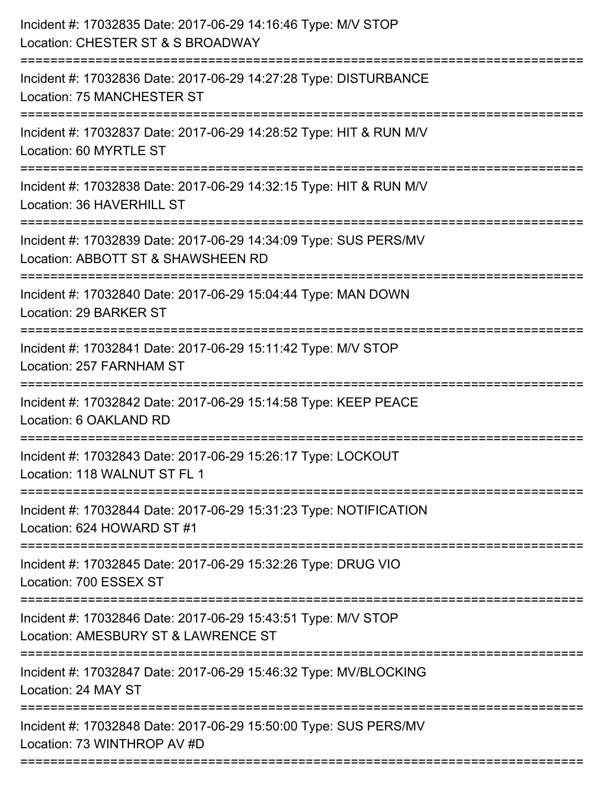| Location: CHESTER ST & S BROADWAY<br>:======================                                                                |
|-----------------------------------------------------------------------------------------------------------------------------|
| Incident #: 17032836 Date: 2017-06-29 14:27:28 Type: DISTURBANCE<br>Location: 75 MANCHESTER ST                              |
| Incident #: 17032837 Date: 2017-06-29 14:28:52 Type: HIT & RUN M/V<br>Location: 60 MYRTLE ST                                |
| Incident #: 17032838 Date: 2017-06-29 14:32:15 Type: HIT & RUN M/V<br>Location: 36 HAVERHILL ST                             |
| Incident #: 17032839 Date: 2017-06-29 14:34:09 Type: SUS PERS/MV<br>Location: ABBOTT ST & SHAWSHEEN RD<br>================= |
| Incident #: 17032840 Date: 2017-06-29 15:04:44 Type: MAN DOWN<br>Location: 29 BARKER ST                                     |
| Incident #: 17032841 Date: 2017-06-29 15:11:42 Type: M/V STOP<br>Location: 257 FARNHAM ST<br>============================== |
| Incident #: 17032842 Date: 2017-06-29 15:14:58 Type: KEEP PEACE<br>Location: 6 OAKLAND RD                                   |
| Incident #: 17032843 Date: 2017-06-29 15:26:17 Type: LOCKOUT<br>Location: 118 WALNUT ST FL 1                                |
| Incident #: 17032844 Date: 2017-06-29 15:31:23 Type: NOTIFICATION<br>Location: 624 HOWARD ST #1                             |
| Incident #: 17032845 Date: 2017-06-29 15:32:26 Type: DRUG VIO<br>Location: 700 ESSEX ST                                     |
| Incident #: 17032846 Date: 2017-06-29 15:43:51 Type: M/V STOP<br>Location: AMESBURY ST & LAWRENCE ST                        |
| Incident #: 17032847 Date: 2017-06-29 15:46:32 Type: MV/BLOCKING<br>Location: 24 MAY ST                                     |
| Incident #: 17032848 Date: 2017-06-29 15:50:00 Type: SUS PERS/MV<br>Location: 73 WINTHROP AV #D                             |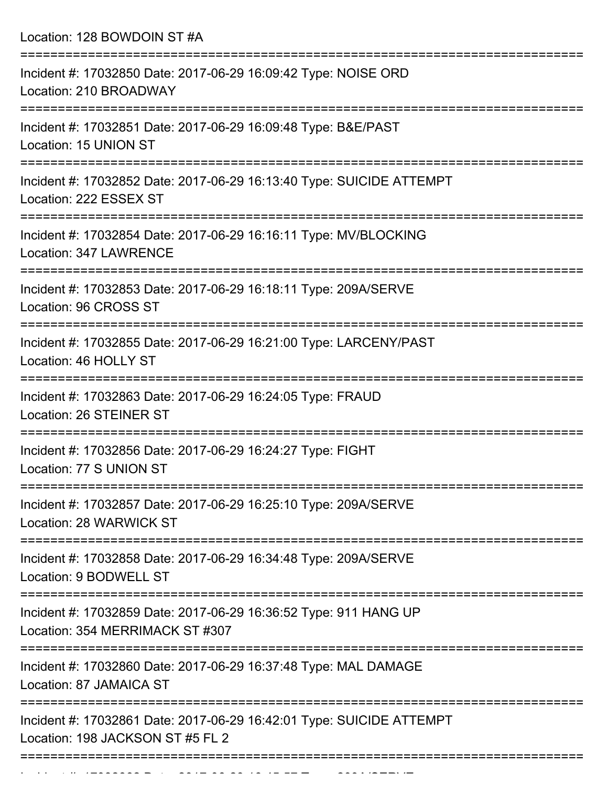Location: 128 BOWDOIN ST #A

| Incident #: 17032850 Date: 2017-06-29 16:09:42 Type: NOISE ORD<br>Location: 210 BROADWAY                 |
|----------------------------------------------------------------------------------------------------------|
| Incident #: 17032851 Date: 2017-06-29 16:09:48 Type: B&E/PAST<br>Location: 15 UNION ST                   |
| Incident #: 17032852 Date: 2017-06-29 16:13:40 Type: SUICIDE ATTEMPT<br>Location: 222 ESSEX ST           |
| Incident #: 17032854 Date: 2017-06-29 16:16:11 Type: MV/BLOCKING<br>Location: 347 LAWRENCE               |
| Incident #: 17032853 Date: 2017-06-29 16:18:11 Type: 209A/SERVE<br>Location: 96 CROSS ST                 |
| Incident #: 17032855 Date: 2017-06-29 16:21:00 Type: LARCENY/PAST<br>Location: 46 HOLLY ST               |
| Incident #: 17032863 Date: 2017-06-29 16:24:05 Type: FRAUD<br>Location: 26 STEINER ST                    |
| Incident #: 17032856 Date: 2017-06-29 16:24:27 Type: FIGHT<br>Location: 77 S UNION ST                    |
| Incident #: 17032857 Date: 2017-06-29 16:25:10 Type: 209A/SERVE<br>Location: 28 WARWICK ST               |
| Incident #: 17032858 Date: 2017-06-29 16:34:48 Type: 209A/SERVE<br>Location: 9 BODWELL ST                |
| Incident #: 17032859 Date: 2017-06-29 16:36:52 Type: 911 HANG UP<br>Location: 354 MERRIMACK ST #307      |
| Incident #: 17032860 Date: 2017-06-29 16:37:48 Type: MAL DAMAGE<br>Location: 87 JAMAICA ST               |
| Incident #: 17032861 Date: 2017-06-29 16:42:01 Type: SUICIDE ATTEMPT<br>Location: 198 JACKSON ST #5 FL 2 |
|                                                                                                          |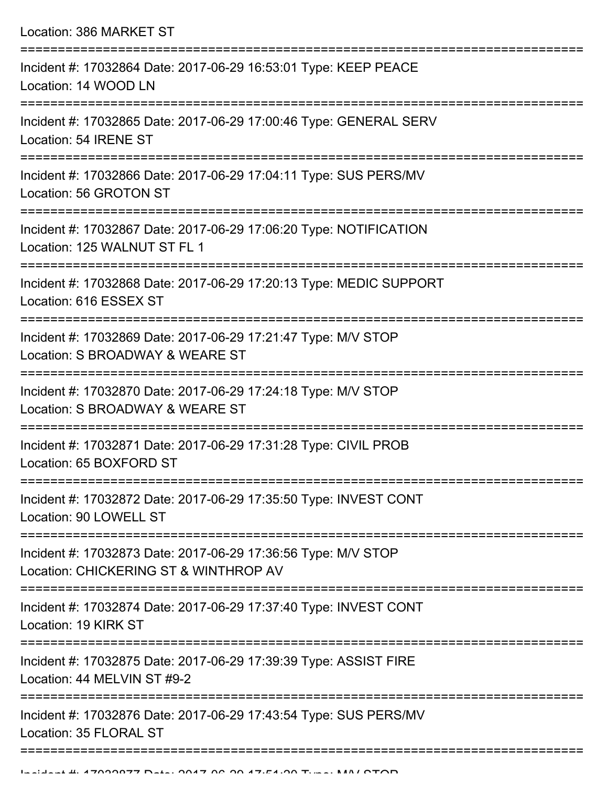| Incident #: 17032864 Date: 2017-06-29 16:53:01 Type: KEEP PEACE<br>Location: 14 WOOD LN                |
|--------------------------------------------------------------------------------------------------------|
| Incident #: 17032865 Date: 2017-06-29 17:00:46 Type: GENERAL SERV<br>Location: 54 IRENE ST             |
| Incident #: 17032866 Date: 2017-06-29 17:04:11 Type: SUS PERS/MV<br>Location: 56 GROTON ST             |
| Incident #: 17032867 Date: 2017-06-29 17:06:20 Type: NOTIFICATION<br>Location: 125 WALNUT ST FL 1      |
| Incident #: 17032868 Date: 2017-06-29 17:20:13 Type: MEDIC SUPPORT<br>Location: 616 ESSEX ST           |
| Incident #: 17032869 Date: 2017-06-29 17:21:47 Type: M/V STOP<br>Location: S BROADWAY & WEARE ST       |
| Incident #: 17032870 Date: 2017-06-29 17:24:18 Type: M/V STOP<br>Location: S BROADWAY & WEARE ST       |
| Incident #: 17032871 Date: 2017-06-29 17:31:28 Type: CIVIL PROB<br>Location: 65 BOXFORD ST             |
| Incident #: 17032872 Date: 2017-06-29 17:35:50 Type: INVEST CONT<br>Location: 90 LOWELL ST             |
| Incident #: 17032873 Date: 2017-06-29 17:36:56 Type: M/V STOP<br>Location: CHICKERING ST & WINTHROP AV |
| Incident #: 17032874 Date: 2017-06-29 17:37:40 Type: INVEST CONT<br>Location: 19 KIRK ST               |
| Incident #: 17032875 Date: 2017-06-29 17:39:39 Type: ASSIST FIRE<br>Location: 44 MELVIN ST #9-2        |
| Incident #: 17032876 Date: 2017-06-29 17:43:54 Type: SUS PERS/MV<br>Location: 35 FLORAL ST             |
|                                                                                                        |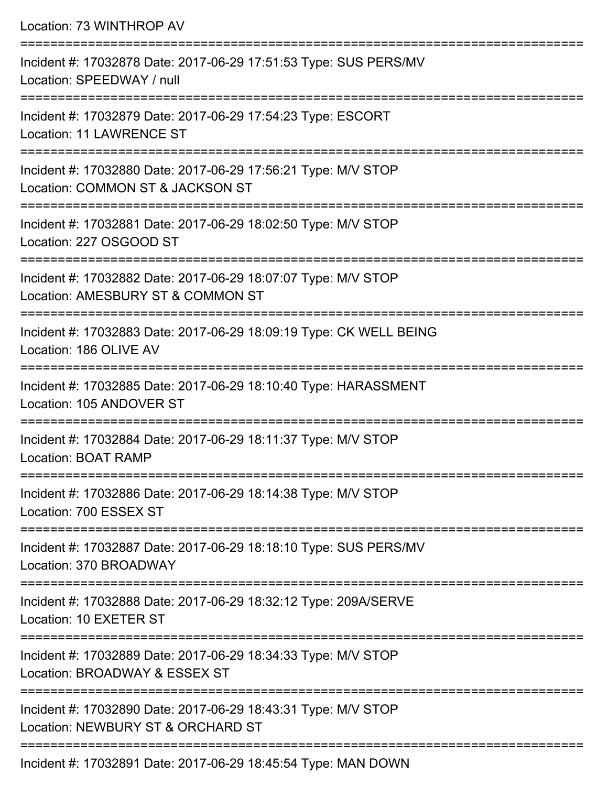| Location: 73 WINTHROP AV                                                                           |
|----------------------------------------------------------------------------------------------------|
| Incident #: 17032878 Date: 2017-06-29 17:51:53 Type: SUS PERS/MV<br>Location: SPEEDWAY / null      |
| Incident #: 17032879 Date: 2017-06-29 17:54:23 Type: ESCORT<br><b>Location: 11 LAWRENCE ST</b>     |
| Incident #: 17032880 Date: 2017-06-29 17:56:21 Type: M/V STOP<br>Location: COMMON ST & JACKSON ST  |
| Incident #: 17032881 Date: 2017-06-29 18:02:50 Type: M/V STOP<br>Location: 227 OSGOOD ST           |
| Incident #: 17032882 Date: 2017-06-29 18:07:07 Type: M/V STOP<br>Location: AMESBURY ST & COMMON ST |
| Incident #: 17032883 Date: 2017-06-29 18:09:19 Type: CK WELL BEING<br>Location: 186 OLIVE AV       |
| Incident #: 17032885 Date: 2017-06-29 18:10:40 Type: HARASSMENT<br>Location: 105 ANDOVER ST        |
| Incident #: 17032884 Date: 2017-06-29 18:11:37 Type: M/V STOP<br>Location: BOAT RAMP               |
| Incident #: 17032886 Date: 2017-06-29 18:14:38 Type: M/V STOP<br>Location: 700 ESSEX ST            |
| Incident #: 17032887 Date: 2017-06-29 18:18:10 Type: SUS PERS/MV<br>Location: 370 BROADWAY         |
| Incident #: 17032888 Date: 2017-06-29 18:32:12 Type: 209A/SERVE<br>Location: 10 EXETER ST          |
| Incident #: 17032889 Date: 2017-06-29 18:34:33 Type: M/V STOP<br>Location: BROADWAY & ESSEX ST     |
| Incident #: 17032890 Date: 2017-06-29 18:43:31 Type: M/V STOP<br>Location: NEWBURY ST & ORCHARD ST |
| $J$ poident #: 17022001 Dete: 2017 06 20 10:45:54 Type: MANI DOMAI                                 |

Incident #: 17032891 Date: 2017-06-29 18:45:54 Type: MAN DOWN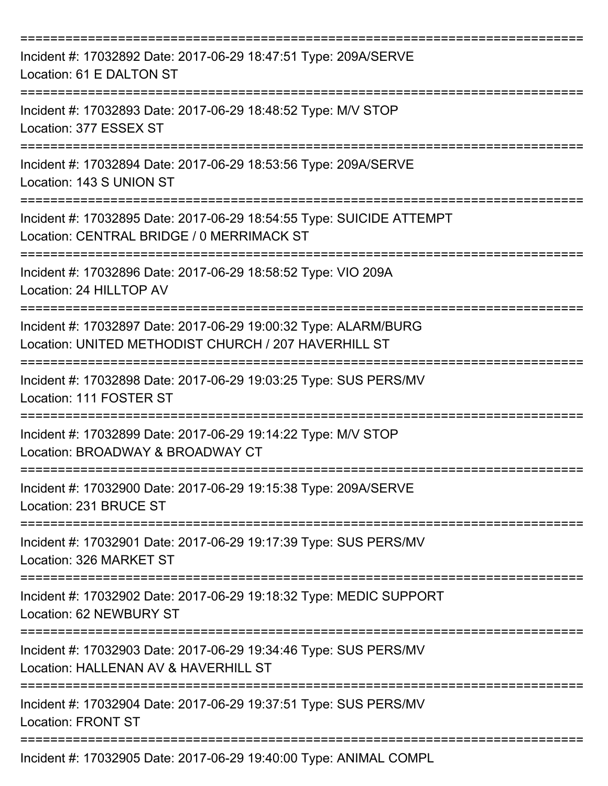| Incident #: 17032892 Date: 2017-06-29 18:47:51 Type: 209A/SERVE<br>Location: 61 E DALTON ST                             |
|-------------------------------------------------------------------------------------------------------------------------|
| Incident #: 17032893 Date: 2017-06-29 18:48:52 Type: M/V STOP<br>Location: 377 ESSEX ST                                 |
| Incident #: 17032894 Date: 2017-06-29 18:53:56 Type: 209A/SERVE<br>Location: 143 S UNION ST                             |
| Incident #: 17032895 Date: 2017-06-29 18:54:55 Type: SUICIDE ATTEMPT<br>Location: CENTRAL BRIDGE / 0 MERRIMACK ST       |
| Incident #: 17032896 Date: 2017-06-29 18:58:52 Type: VIO 209A<br>Location: 24 HILLTOP AV                                |
| Incident #: 17032897 Date: 2017-06-29 19:00:32 Type: ALARM/BURG<br>Location: UNITED METHODIST CHURCH / 207 HAVERHILL ST |
| Incident #: 17032898 Date: 2017-06-29 19:03:25 Type: SUS PERS/MV<br>Location: 111 FOSTER ST                             |
| Incident #: 17032899 Date: 2017-06-29 19:14:22 Type: M/V STOP<br>Location: BROADWAY & BROADWAY CT                       |
| Incident #: 17032900 Date: 2017-06-29 19:15:38 Type: 209A/SERVE<br>Location: 231 BRUCE ST                               |
| Incident #: 17032901 Date: 2017-06-29 19:17:39 Type: SUS PERS/MV<br>Location: 326 MARKET ST                             |
| Incident #: 17032902 Date: 2017-06-29 19:18:32 Type: MEDIC SUPPORT<br>Location: 62 NEWBURY ST                           |
| Incident #: 17032903 Date: 2017-06-29 19:34:46 Type: SUS PERS/MV<br>Location: HALLENAN AV & HAVERHILL ST                |
| Incident #: 17032904 Date: 2017-06-29 19:37:51 Type: SUS PERS/MV<br><b>Location: FRONT ST</b>                           |
| Incident #: 17032905 Date: 2017-06-29 19:40:00 Type: ANIMAL COMPL                                                       |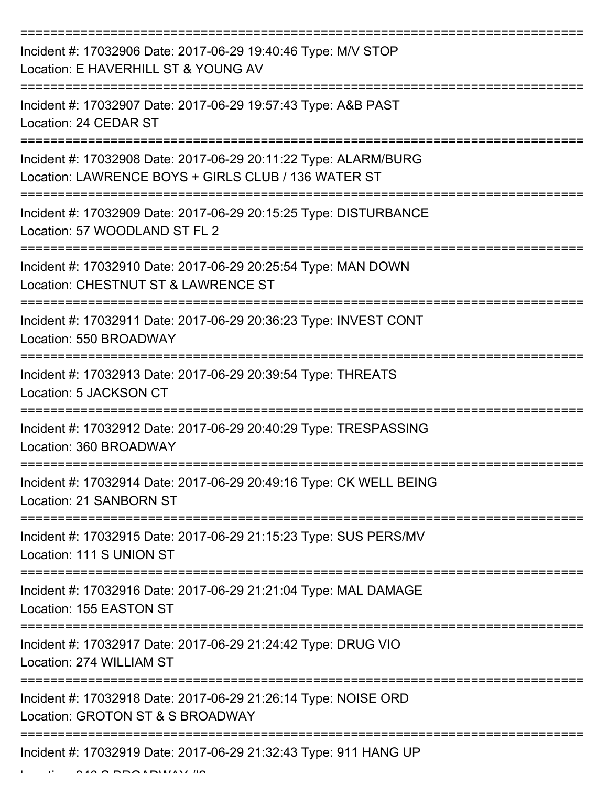| Incident #: 17032906 Date: 2017-06-29 19:40:46 Type: M/V STOP<br>Location: E HAVERHILL ST & YOUNG AV                   |
|------------------------------------------------------------------------------------------------------------------------|
| Incident #: 17032907 Date: 2017-06-29 19:57:43 Type: A&B PAST<br>Location: 24 CEDAR ST                                 |
| Incident #: 17032908 Date: 2017-06-29 20:11:22 Type: ALARM/BURG<br>Location: LAWRENCE BOYS + GIRLS CLUB / 136 WATER ST |
| Incident #: 17032909 Date: 2017-06-29 20:15:25 Type: DISTURBANCE<br>Location: 57 WOODLAND ST FL 2                      |
| Incident #: 17032910 Date: 2017-06-29 20:25:54 Type: MAN DOWN<br>Location: CHESTNUT ST & LAWRENCE ST                   |
| Incident #: 17032911 Date: 2017-06-29 20:36:23 Type: INVEST CONT<br>Location: 550 BROADWAY                             |
| Incident #: 17032913 Date: 2017-06-29 20:39:54 Type: THREATS<br>Location: 5 JACKSON CT                                 |
| Incident #: 17032912 Date: 2017-06-29 20:40:29 Type: TRESPASSING<br>Location: 360 BROADWAY                             |
| Incident #: 17032914 Date: 2017-06-29 20:49:16 Type: CK WELL BEING<br>Location: 21 SANBORN ST                          |
| Incident #: 17032915 Date: 2017-06-29 21:15:23 Type: SUS PERS/MV<br>Location: 111 S UNION ST                           |
| Incident #: 17032916 Date: 2017-06-29 21:21:04 Type: MAL DAMAGE<br>Location: 155 EASTON ST                             |
| Incident #: 17032917 Date: 2017-06-29 21:24:42 Type: DRUG VIO<br>Location: 274 WILLIAM ST                              |
| Incident #: 17032918 Date: 2017-06-29 21:26:14 Type: NOISE ORD<br>Location: GROTON ST & S BROADWAY                     |
| Incident #: 17032919 Date: 2017-06-29 21:32:43 Type: 911 HANG UP                                                       |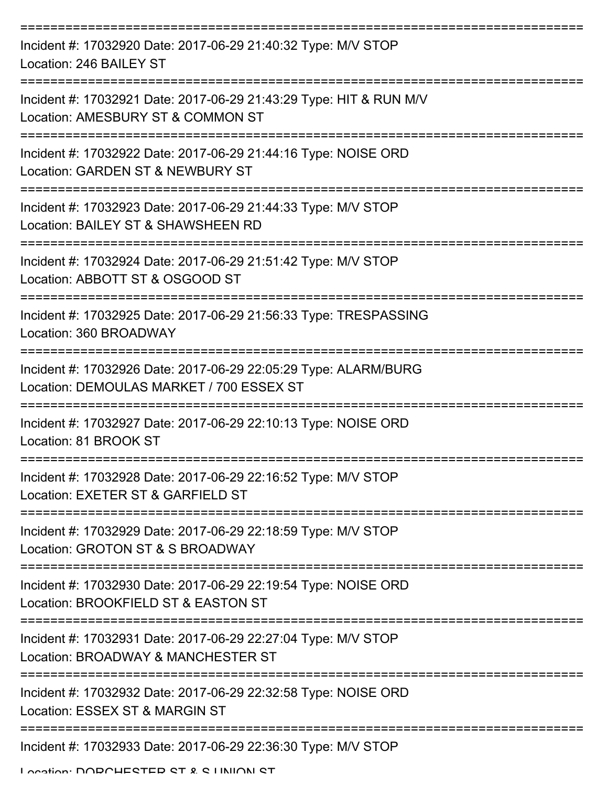| Incident #: 17032920 Date: 2017-06-29 21:40:32 Type: M/V STOP<br>Location: 246 BAILEY ST                    |
|-------------------------------------------------------------------------------------------------------------|
| Incident #: 17032921 Date: 2017-06-29 21:43:29 Type: HIT & RUN M/V<br>Location: AMESBURY ST & COMMON ST     |
| Incident #: 17032922 Date: 2017-06-29 21:44:16 Type: NOISE ORD<br>Location: GARDEN ST & NEWBURY ST          |
| Incident #: 17032923 Date: 2017-06-29 21:44:33 Type: M/V STOP<br>Location: BAILEY ST & SHAWSHEEN RD         |
| Incident #: 17032924 Date: 2017-06-29 21:51:42 Type: M/V STOP<br>Location: ABBOTT ST & OSGOOD ST            |
| Incident #: 17032925 Date: 2017-06-29 21:56:33 Type: TRESPASSING<br>Location: 360 BROADWAY                  |
| Incident #: 17032926 Date: 2017-06-29 22:05:29 Type: ALARM/BURG<br>Location: DEMOULAS MARKET / 700 ESSEX ST |
| Incident #: 17032927 Date: 2017-06-29 22:10:13 Type: NOISE ORD<br>Location: 81 BROOK ST                     |
| Incident #: 17032928 Date: 2017-06-29 22:16:52 Type: M/V STOP<br>Location: EXETER ST & GARFIELD ST          |
| Incident #: 17032929 Date: 2017-06-29 22:18:59 Type: M/V STOP<br>Location: GROTON ST & S BROADWAY           |
| Incident #: 17032930 Date: 2017-06-29 22:19:54 Type: NOISE ORD<br>Location: BROOKFIELD ST & EASTON ST       |
| Incident #: 17032931 Date: 2017-06-29 22:27:04 Type: M/V STOP<br>Location: BROADWAY & MANCHESTER ST         |
| Incident #: 17032932 Date: 2017-06-29 22:32:58 Type: NOISE ORD<br>Location: ESSEX ST & MARGIN ST            |
| Incident #: 17032933 Date: 2017-06-29 22:36:30 Type: M/V STOP                                               |

Location: DODCHESTED ST & S LINIION ST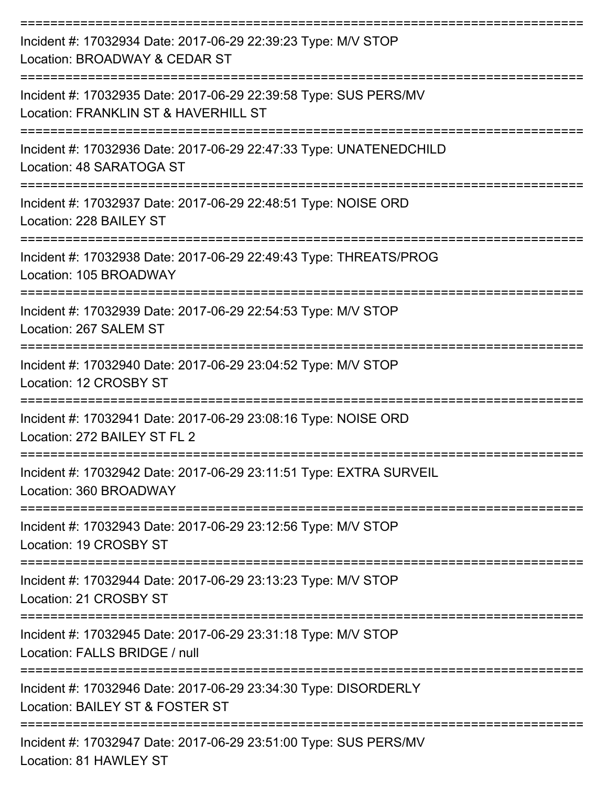| Incident #: 17032934 Date: 2017-06-29 22:39:23 Type: M/V STOP<br>Location: BROADWAY & CEDAR ST<br>============================ |
|--------------------------------------------------------------------------------------------------------------------------------|
| Incident #: 17032935 Date: 2017-06-29 22:39:58 Type: SUS PERS/MV<br>Location: FRANKLIN ST & HAVERHILL ST<br>---------------    |
| Incident #: 17032936 Date: 2017-06-29 22:47:33 Type: UNATENEDCHILD<br>Location: 48 SARATOGA ST                                 |
| Incident #: 17032937 Date: 2017-06-29 22:48:51 Type: NOISE ORD<br>Location: 228 BAILEY ST                                      |
| Incident #: 17032938 Date: 2017-06-29 22:49:43 Type: THREATS/PROG<br>Location: 105 BROADWAY                                    |
| Incident #: 17032939 Date: 2017-06-29 22:54:53 Type: M/V STOP<br>Location: 267 SALEM ST                                        |
| Incident #: 17032940 Date: 2017-06-29 23:04:52 Type: M/V STOP<br>Location: 12 CROSBY ST                                        |
| Incident #: 17032941 Date: 2017-06-29 23:08:16 Type: NOISE ORD<br>Location: 272 BAILEY ST FL 2                                 |
| Incident #: 17032942 Date: 2017-06-29 23:11:51 Type: EXTRA SURVEIL<br>Location: 360 BROADWAY                                   |
| Incident #: 17032943 Date: 2017-06-29 23:12:56 Type: M/V STOP<br>Location: 19 CROSBY ST                                        |
| Incident #: 17032944 Date: 2017-06-29 23:13:23 Type: M/V STOP<br>Location: 21 CROSBY ST                                        |
| Incident #: 17032945 Date: 2017-06-29 23:31:18 Type: M/V STOP<br>Location: FALLS BRIDGE / null                                 |
| Incident #: 17032946 Date: 2017-06-29 23:34:30 Type: DISORDERLY<br>Location: BAILEY ST & FOSTER ST                             |
| Incident #: 17032947 Date: 2017-06-29 23:51:00 Type: SUS PERS/MV<br>$L$ coofian: 04 $H$ $M$ $M$ $H$ $C$ $V$ $C$ $T$            |

Location: 81 HAWLEY ST